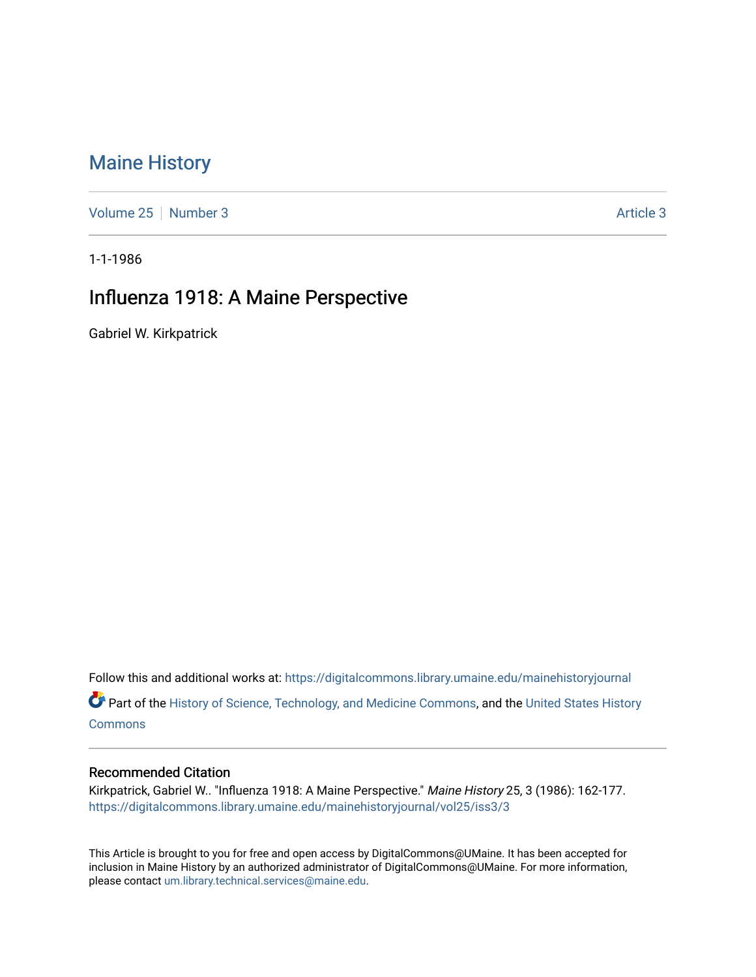# [Maine History](https://digitalcommons.library.umaine.edu/mainehistoryjournal)

[Volume 25](https://digitalcommons.library.umaine.edu/mainehistoryjournal/vol25) [Number 3](https://digitalcommons.library.umaine.edu/mainehistoryjournal/vol25/iss3) [Article 3](https://digitalcommons.library.umaine.edu/mainehistoryjournal/vol25/iss3/3) Article 3

1-1-1986

## Influenza 1918: A Maine Perspective

Gabriel W. Kirkpatrick

Follow this and additional works at: [https://digitalcommons.library.umaine.edu/mainehistoryjournal](https://digitalcommons.library.umaine.edu/mainehistoryjournal?utm_source=digitalcommons.library.umaine.edu%2Fmainehistoryjournal%2Fvol25%2Fiss3%2F3&utm_medium=PDF&utm_campaign=PDFCoverPages) 

Part of the [History of Science, Technology, and Medicine Commons,](http://network.bepress.com/hgg/discipline/500?utm_source=digitalcommons.library.umaine.edu%2Fmainehistoryjournal%2Fvol25%2Fiss3%2F3&utm_medium=PDF&utm_campaign=PDFCoverPages) and the United States History **[Commons](http://network.bepress.com/hgg/discipline/495?utm_source=digitalcommons.library.umaine.edu%2Fmainehistoryjournal%2Fvol25%2Fiss3%2F3&utm_medium=PDF&utm_campaign=PDFCoverPages)** 

#### Recommended Citation

Kirkpatrick, Gabriel W.. "Influenza 1918: A Maine Perspective." Maine History 25, 3 (1986): 162-177. [https://digitalcommons.library.umaine.edu/mainehistoryjournal/vol25/iss3/3](https://digitalcommons.library.umaine.edu/mainehistoryjournal/vol25/iss3/3?utm_source=digitalcommons.library.umaine.edu%2Fmainehistoryjournal%2Fvol25%2Fiss3%2F3&utm_medium=PDF&utm_campaign=PDFCoverPages)

This Article is brought to you for free and open access by DigitalCommons@UMaine. It has been accepted for inclusion in Maine History by an authorized administrator of DigitalCommons@UMaine. For more information, please contact [um.library.technical.services@maine.edu.](mailto:um.library.technical.services@maine.edu)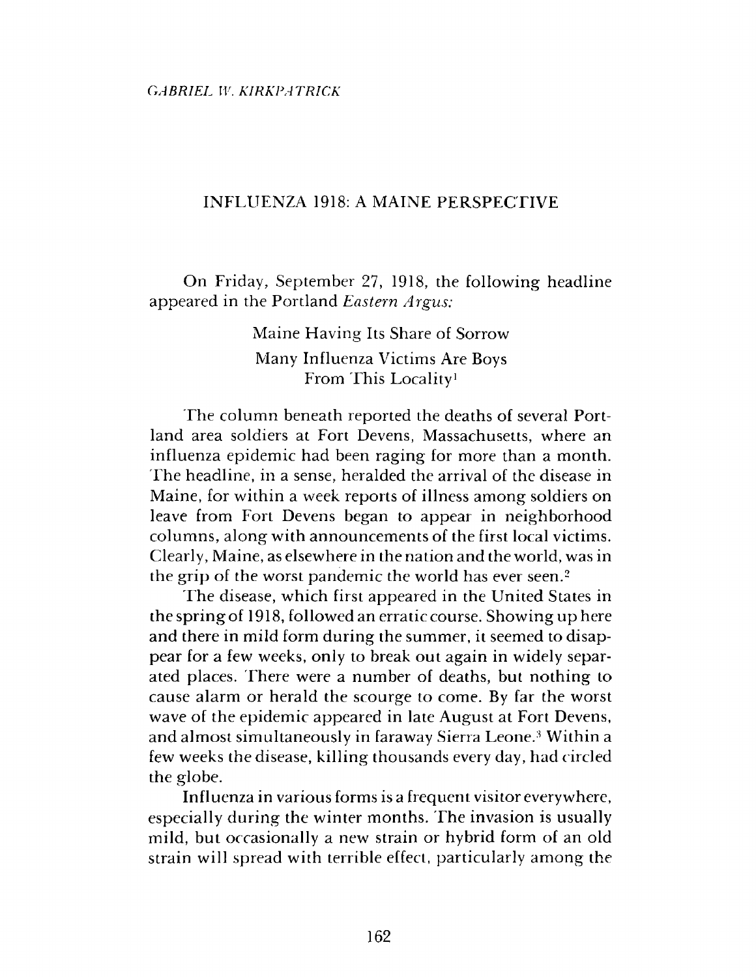### INFLUENZA 1918: A MAINE PERSPECTIVE

On Friday, September 27, 1918, the following headline appeared in the Portland *Eastern Argus:*

> Maine Having Its Share of Sorrow Many Influenza Victims Are Boys From This Locality1

The column beneath reported the deaths of several Portland area soldiers at Fort Devens, Massachusetts, where an influenza epidemic had been raging for more than a month. The headline, in a sense, heralded the arrival of the disease in Maine, for within a week reports of illness among soldiers on leave from Fort Devens began to appear in neighborhood columns, along with announcements of the first local victims. Clearly, Maine, as elsewhere in the nation and the world, was in the grip of the worst pandemic the world has ever seen.2

The disease, which first appeared in the United States in thespringof 1918, followed an erratic course. Showing up here and there in mild form during the summer, it seemed to disappear for a few weeks, only to break out again in widely separated places. There were a number of deaths, but nothing to cause alarm or herald the scourge to come. By far the worst wave of the epidemic appeared in late August at Fort Devens, and almost simultaneously in faraway Sierra Leone.3 Within a few weeks the disease, killing thousands every day, had circled the globe.

Influenza in various forms is a frequent visitor everywhere, especially during the winter months. The invasion is usually mild, but occasionally a new strain or hybrid form of an old strain will spread with terrible effect, particularly among the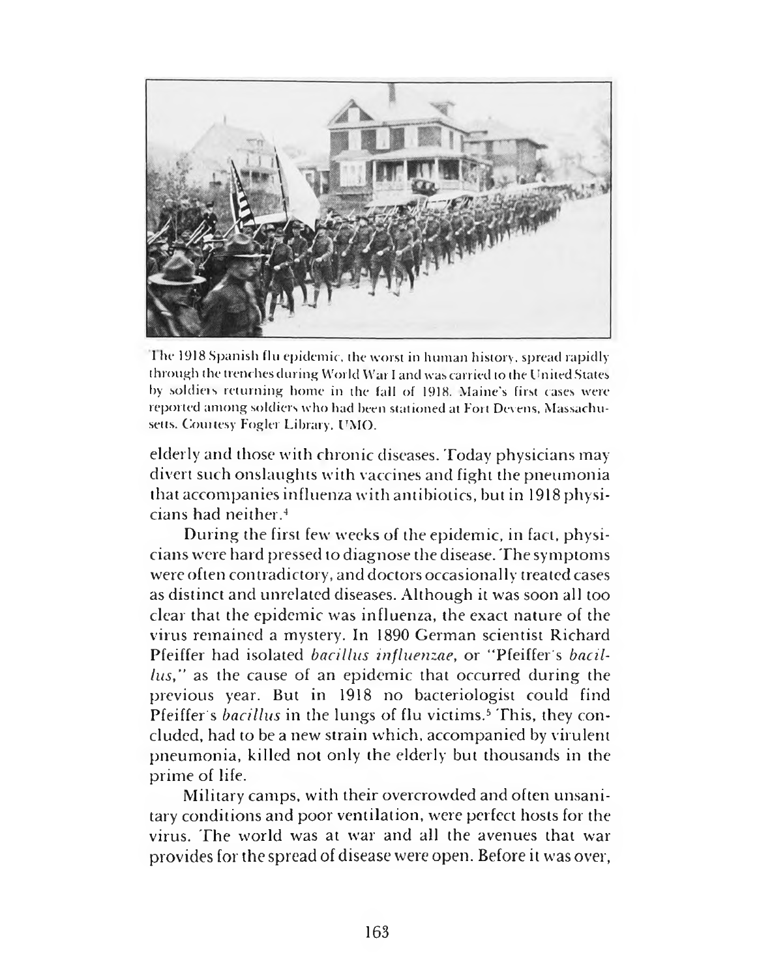

1 he 1918 Spanish flu epidemic, the worst in human history, spread rapidly through the trenches during World War I and was carried to the United States by soldiers returning home in the fall of 1918. Maine's first cases were reported among soldiers who had been stationed at Fort Devens, Massachusetts. Courtesy Fogler Library, UMO.

elderly and those with chronic diseases. Today physicians may divert such onslaughts with vaccines and fight the pneumonia that accompanies influenza with antibiotics, but in 1918 physicians had neither.4

During the first few weeks of the epidemic, in fact, physicians were hard pressed to diagnose the disease. The symptoms were often contradictory, and doctors occasionally treated cases as distinct and unrelated diseases. Although it was soon all too clear that the epidemic was influenza, the exact nature of the virus remained a mystery. In 1890 German scientist Richard Pfeiffer had isolated *bacillus influenzae,* or "Pfeiffer's *bacillus,"* as the cause of an epidemic that occurred during the previous year. But in 1918 no bacteriologist could find Pfeiffer's *bacillus* in the lungs of flu victims.5 This, they concluded, had to be a new strain which, accompanied by virulent pneumonia, killed not only the elderly but thousands in the prime of life.

Military camps, with their overcrowded and often unsanitary conditions and poor ventilation, were perfect hosts for the virus. The world was at war and all the avenues that war provides for the spread of disease were open. Before it was over,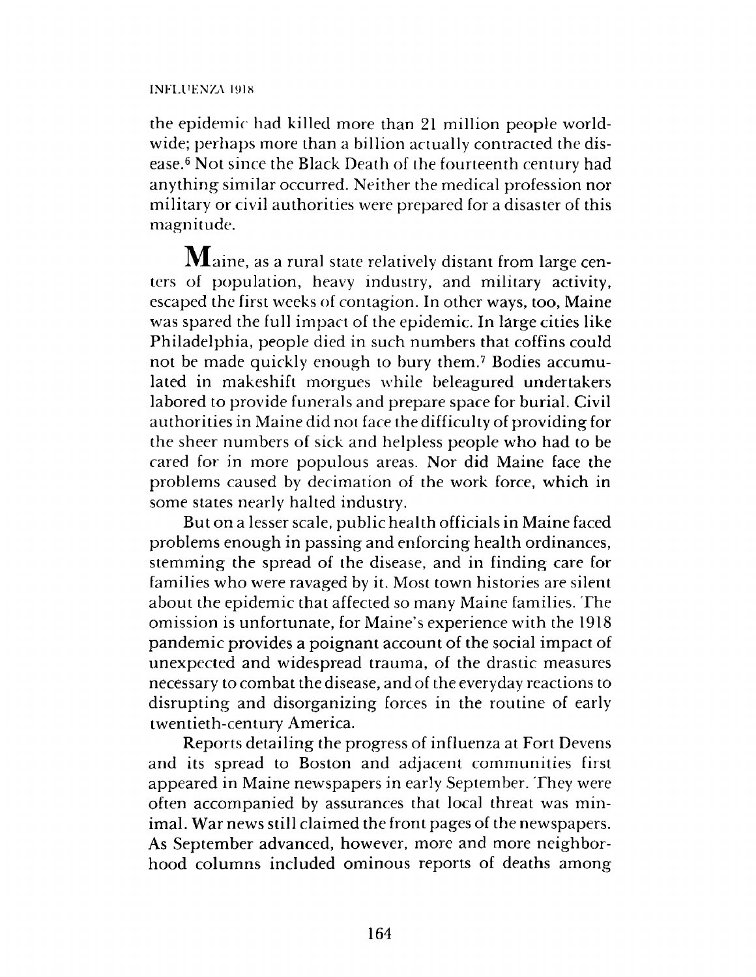#### INFLUKNZA 1918

the epidemic had killed more than 21 million people worldwide; perhaps more than a billion actually contracted the disease.6 Not since the Black Death of the fourteenth century had anything similar occurred. Neither the medical profession nor military or civil authorities were prepared for a disaster of this magnitude.

 $\mathbf M$ aine, as a rural state relatively distant from large centers of population, heavy industry, and military activity, escaped the first weeks of contagion. In other ways, too, Maine was spared the full impact of the epidemic. In large cities like Philadelphia, people died in such numbers that coffins could not be made quickly enough to bury them.7 Bodies accumulated in makeshift morgues while beleagured undertakers labored to provide funerals and prepare space for burial. Civil authorities in Maine did not face the difficulty of providing for the sheer numbers of sick and helpless people who had to be cared for in more populous areas. Nor did Maine face the problems caused by decimation of the work force, which in some states nearly halted industry.

But on a lesser scale, public health officials in Maine faced problems enough in passing and enforcing health ordinances, stemming the spread of the disease, and in finding care for families who were ravaged by it. Most town histories are silent about the epidemic that affected so many Maine families. The omission is unfortunate, for Maine's experience with the 1918 pandemic provides a poignant account of the social impact of unexpected and widespread trauma, of the drastic measures necessary to combat the disease, and of the everyday reactions to disrupting and disorganizing forces in the routine of early twentieth-century America.

Reports detailing the progress of influenza at Fort Devens and its spread to Boston and adjacent communities first appeared in Maine newspapers in early September. They were often accompanied by assurances that local threat was minimal. War news still claimed the front pages of the newspapers. As September advanced, however, more and more neighborhood columns included ominous reports of deaths among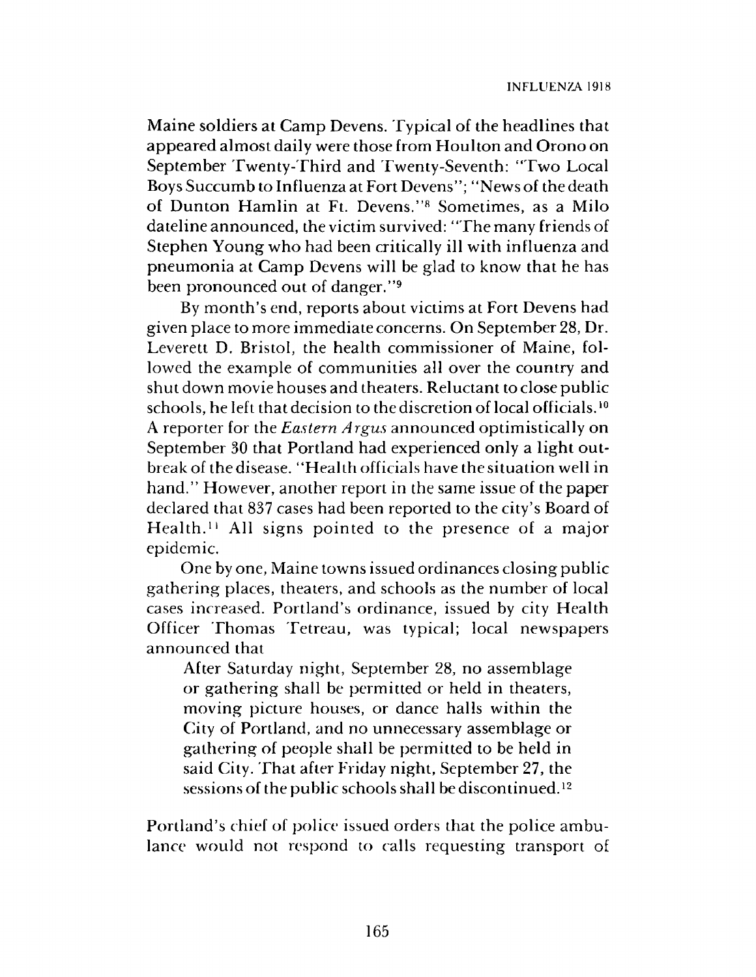Maine soldiers at Camp Devens. Typical of the headlines that appeared almost daily were those from Houlton and Orono on September Twenty-Third and Twenty-Seventh: "Two Local Boys Succumb to Influenza at Fort Devens"; "News of the death of Dunton Hamlin at Ft. Devens."8 Sometimes, as a Milo dateline announced, the victim survived: "The many friends of Stephen Young who had been critically ill with influenza and pneumonia at Camp Devens will be glad to know that he has been pronounced out of danger."9

By month's end, reports about victims at Fort Devens had given place to more immediate concerns. On September 28, Dr. Leverett D. Bristol, the health commissioner of Maine, followed the example of communities all over the country and shut down movie houses and theaters. Reluctant to close public schools, he left that decision to the discretion of local officials.<sup>10</sup> A reporter for the *Eastern Argus* announced optimistically on September 30 that Portland had experienced only a light outbreak of the disease. " Health officials have the situation well in hand." However, another report in the same issue of the paper declared that 837 cases had been reported to the city's Board of Health.11 All signs pointed to the presence of a major epidemic.

One by one, Maine towns issued ordinances closing public gathering places, theaters, and schools as the number of local cases increased. Portland's ordinance, issued by city Health Officer Thomas Tetreau, was typical; local newspapers announced that

After Saturday night, September 28, no assemblage or gathering shall be permitted or held in theaters, moving picture houses, or dance halls within the City of Portland, and no unnecessary assemblage or gathering of people shall be permitted to be held in said City. That after Friday night, September 27, the sessions of the public schools shall be discontinued.<sup>12</sup>

Portland's chief of police issued orders that the police ambulance would not respond to calls requesting transport of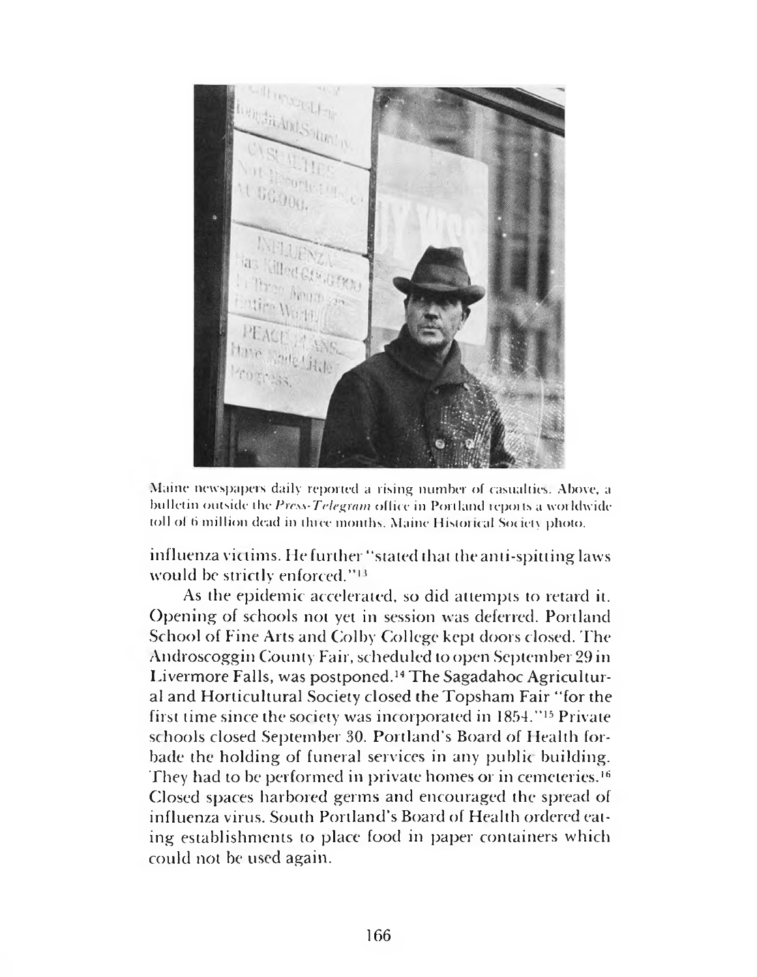

Maine newspapers daily reported a rising number of casualties. Above, a bulletin outside the *Press-Telegram* office in Portland reports a worldwide toll of (i million dead in three months. Maine Historical Society photo.

influenza victims. He further "stated that theanti-spitting laws would be strictly enforced."<sup>13</sup>

As the epidemic accelerated, so did attempts to retard it. Opening of schools not yet in session was deferred. Portland School of Fine Arts and Colby College kept doors closed. The Androscoggin County Fair, scheduled to open September 29 in Livermore Falls, was postponed.14 The Sagadahoc Agricultural and Horticultural Society dosed the Topsham Fair " for the first time since the society was incorporated in 1854." 15 Private schools closed September 30. Portland's Board of Health forbade the holding of funeral services in any public building. They had to be performed in private homes or in cemeteries.16 Closed spaces harbored germs and encouraged the spread of influenza virus. South Portland's Board of Health ordered eating establishments to place food in paper containers which could not be used again.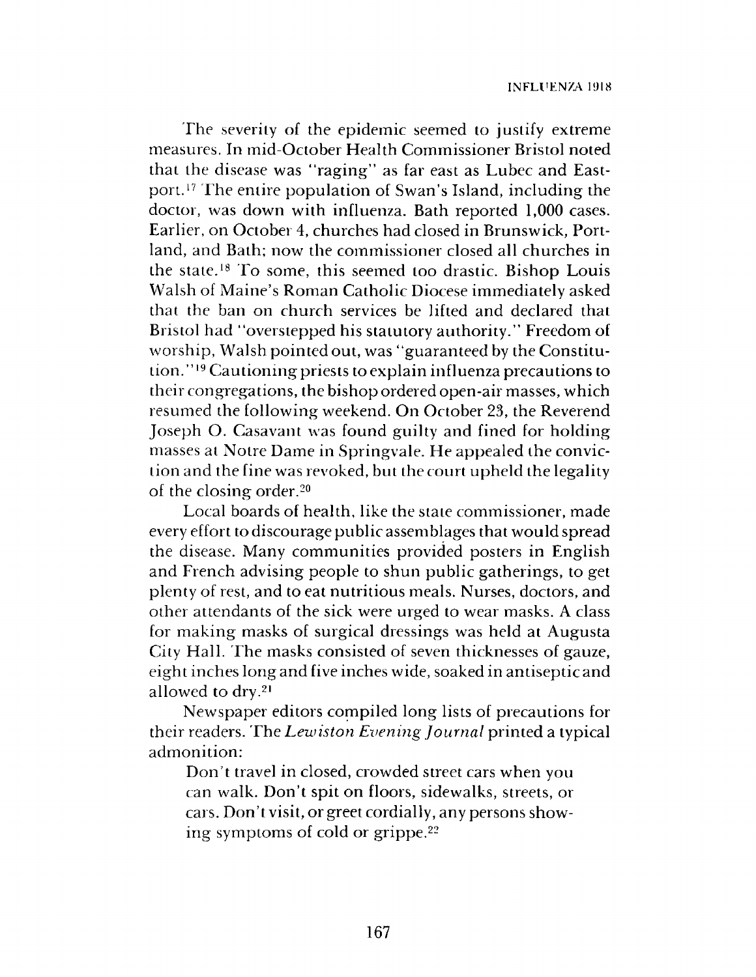The severity of the epidemic seemed to justify extreme measures. In mid-October Health Commissioner Bristol noted that the disease was "raging" as far east as Lubec and Eastport.17 The entire population of Swan's Island, including the doctor, was down with influenza. Bath reported 1,000 cases. Earlier, on October 4, churches had closed in Brunswick, Portland, and Bath; now the commissioner closed all churches in the state.18 To some, this seemed too drastic. Bishop Louis Walsh of Maine's Roman Catholic Diocese immediately asked that the ban on church services be lifted and declared that Bristol had "overstepped his statutory authority." Freedom of worship, Walsh pointed out, was "guaranteed by the Constitution." 19 Cautioning priests to explain influenza precautions to their congregations, the bishop ordered open-air masses, which resumed the following weekend. On October 23, the Reverend Joseph O. Casavant was found guilty and fined for holding masses at Notre Dame in Springvale. He appealed the conviction and the fine was revoked, but the court upheld the legality of the closing order.20

Local boards of health, like the state commissioner, made every effort to discourage public assemblages that would spread the disease. Many communities provided posters in English and French advising people to shun public gatherings, to get plenty of rest, and to eat nutritious meals. Nurses, doctors, and other attendants of the sick were urged to wear masks. A class for making masks of surgical dressings was held at Augusta City Hall. The masks consisted of seven thicknesses of gauze, eight inches long and five inches wide, soaked in antiseptic and allowed to dry.21

Newspaper editors compiled long lists of precautions for their readers. The *Lewiston Evening Journal* printed a typical admonition:

Don't travel in closed, crowded street cars when you can walk. Don't spit on floors, sidewalks, streets, or cars. Don't visit, or greet cordially, any persons showing symptoms of cold or grippe.22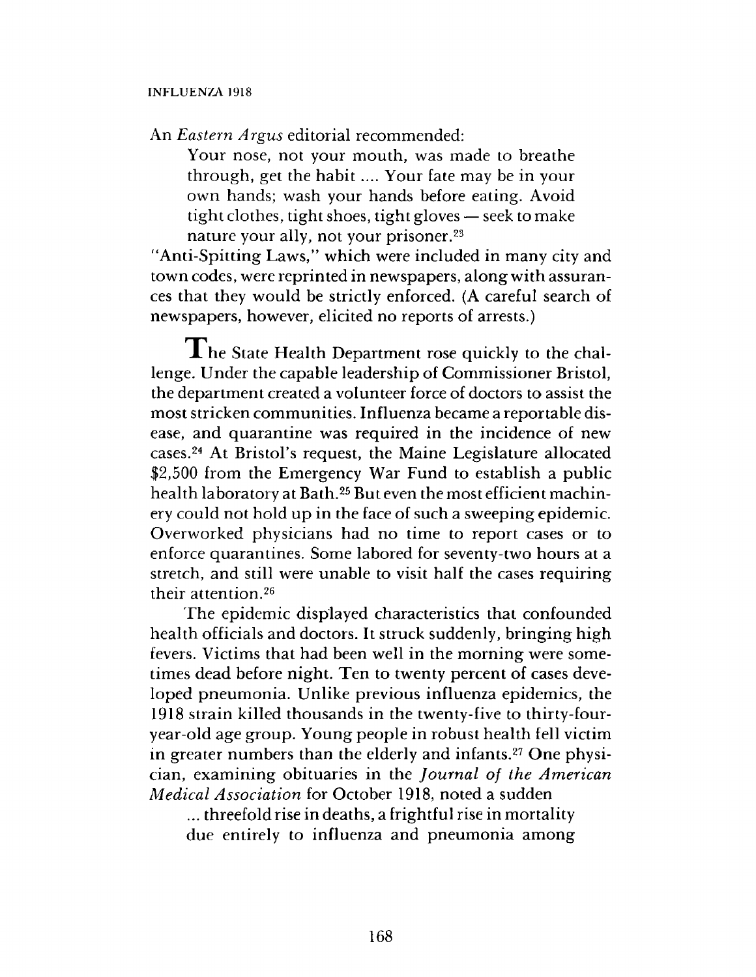An *Eastern Argus* editorial recommended:

Your nose, not your mouth, was made to breathe through, get the habit.... Your fate may be in your own hands; wash your hands before eating. Avoid tight clothes, tight shoes, tight gloves — seek to make nature your ally, not your prisoner.23

"Anti-Spitting Laws," which were included in many city and town codes, were reprinted in newspapers, along with assurances that they would be strictly enforced. (A careful search of newspapers, however, elicited no reports of arrests.)

 $\blacksquare$  he State Health Department rose quickly to the challenge. Under the capable leadership of Commissioner Bristol, the department created a volunteer force of doctors to assist the most stricken communities. Influenza became a reportable disease, and quarantine was required in the incidence of new cases.24 At Bristol's request, the Maine Legislature allocated \$2,500 from the Emergency War Fund to establish a public health laboratory at Bath.25 But even the most efficient machinery could not hold up in the face of such a sweeping epidemic. Overworked physicians had no time to report cases or to enforce quarantines. Some labored for seventy-two hours at a stretch, and still were unable to visit half the cases requiring their attention.26

The epidemic displayed characteristics that confounded health officials and doctors. It struck suddenly, bringing high fevers. Victims that had been well in the morning were sometimes dead before night. Ten to twenty percent of cases developed pneumonia. Unlike previous influenza epidemics, the 1918 strain killed thousands in the twenty-five to thirty-fouryear-old age group. Young people in robust health fell victim in greater numbers than the elderly and infants.<sup>27</sup> One physician, examining obituaries in the *Journal of the American Medical Association* for October 1918, noted a sudden

... threefold rise in deaths, a frightful rise in mortality due entirely to influenza and pneumonia among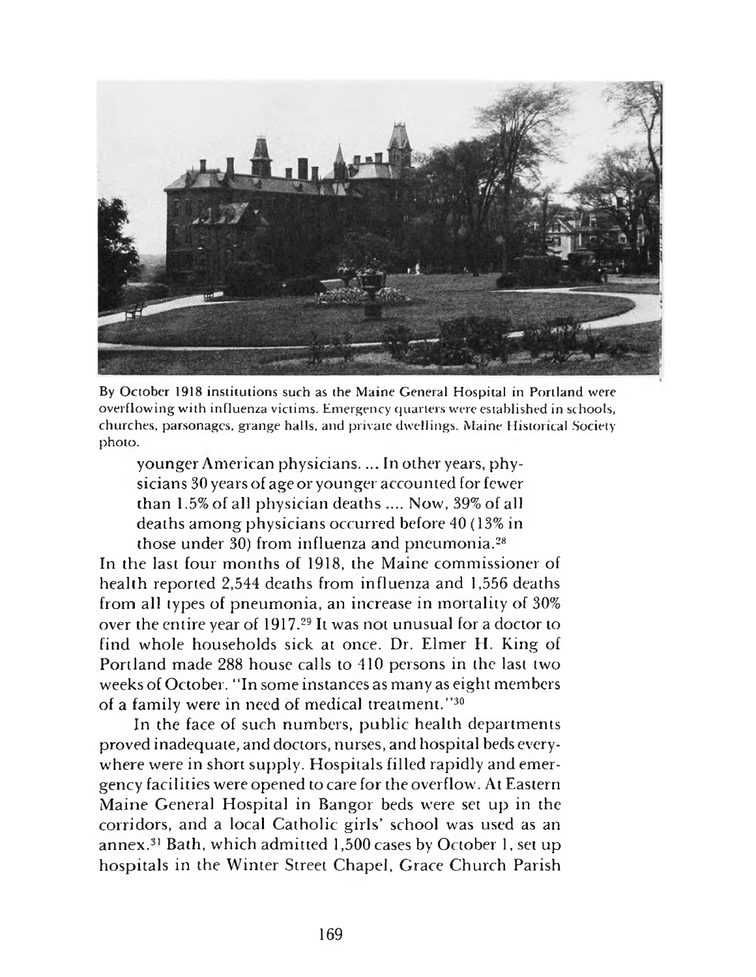

By October 1918 institutions such as the Maine General Hospital in Portland were overflowing with influenza victims. Emergency quarters were established in schools, churches, parsonages, grange halls, and private dwellings. Maine Historical Society photo.

younger American physicians\_\_In other years, physicians 30 years of age or younger accounted for fewer than 1.5% of all physician deaths .... Now, 39% of all deaths among physicians occurred before 40 (13% in those under 30) from influenza and pneumonia.28

In the last four months of 1918, the Maine commissioner of health reported 2,544 deaths from influenza and 1,556 deaths from all types of pneumonia, an increase in mortality of 30% over the entire year of 1917.29 It was not unusual for a doctor to find whole households sick at once. Dr. Elmer H. King of Portland made 288 house calls to 410 persons in the last two weeks of October. " In some instances as many as eight members of a family were in need of medical treatment.''30

In the face of such numbers, public health departments proved inadequate, and doctors, nurses, and hospital beds everywhere were in short supply. Hospitals filled rapidly and emergency facilities were opened to care for the overflow. At Eastern Maine General Hospital in Bangor beds were set up in the corridors, and a local Catholic girls' school was used as an annex.31 Bath, which admitted 1,500 cases by October 1, set up hospitals in the Winter Street Chapel, Grace Church Parish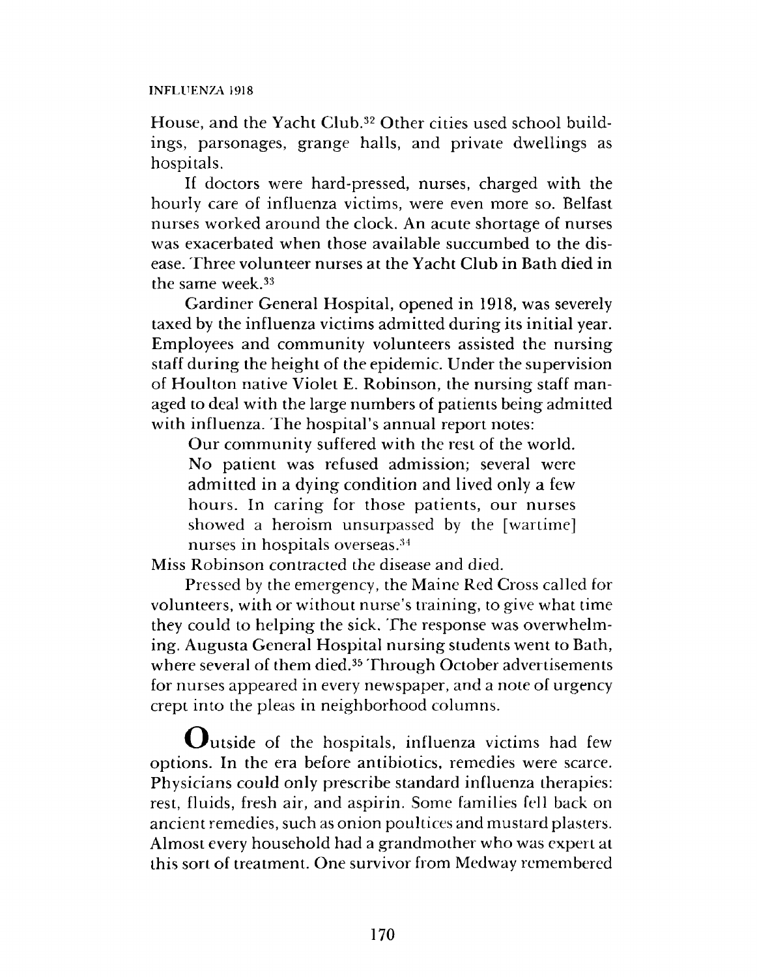### INFLUENZA 1918

House, and the Yacht Club.32 Other cities used school buildings, parsonages, grange halls, and private dwellings as hospitals.

If doctors were hard-pressed, nurses, charged with the hourly care of influenza victims, were even more so. Belfast nurses worked around the clock. An acute shortage of nurses was exacerbated when those available succumbed to the disease. Three volunteer nurses at the Yacht Club in Bath died in the same week.33

Gardiner General Hospital, opened in 1918, was severely taxed by the influenza victims admitted during its initial year. Employees and community volunteers assisted the nursing staff during the height of the epidemic. Under the supervision of Houlton native Violet E. Robinson, the nursing staff managed to deal with the large numbers of patients being admitted with influenza. The hospital's annual report notes:

Our community suffered with the rest of the world. No patient was refused admission; several were admitted in a dying condition and lived only a few hours. In caring for those patients, our nurses showed a heroism unsurpassed by the [wartime] nurses in hospitals overseas.34

Miss Robinson contracted the disease and died.

Pressed by the emergency, the Maine Red Cross called for volunteers, with or without nurse's training, to give what time they could to helping the sick. The response was overwhelming. Augusta General Hospital nursing students went to Bath, where several of them died.<sup>35</sup> Through October advertisements for nurses appeared in every newspaper, and a note of urgency crept into the pleas in neighborhood columns.

 $\mathbf{Q}_{\text{u}t}$  and  $\mathbf{Q}_{\text{u}t}$  of the hospitals, influenza victims had few options. In the era before antibiotics, remedies were scarce. Physicians could only prescribe standard influenza therapies: rest, fluids, fresh air, and aspirin. Some families fell back on ancient remedies, such as onion poultices and mustard plasters. Almost every household had a grandmother who was expert at this sort of treatment. One survivor from Medway remembered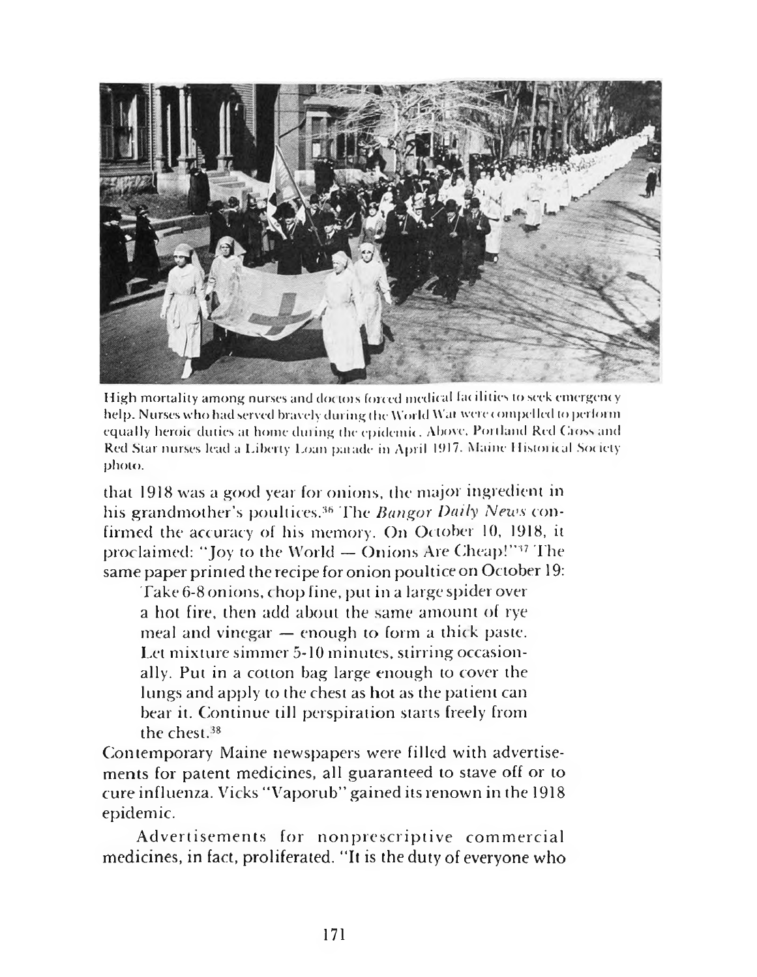

High mortality among nurses and doctors forced medical facilities to seek emergency help. Nurses who had served bravely during the World Wat were compelled to perform equally heroic duties at home during the epidemic. Above. Portland Red Cross and Red Star nurses lead a Liberty Loan parade in April 1917. Maine Historical Society photo.

that 1918 was a good year for onions, the major ingredient in his grandmother's poultices.<sup>36</sup> The *Bangor Daily News* confirmed the accuracy of his memory. On October 10, 1918, it proclaimed: "Joy to the World - Onions Are Cheap!"<sup>37</sup> The same paper printed the recipe for onion poultice on October 19:

Take 6-8 onions, chop fine, put in a large spider over a hot fire, then add about the same amount of rye meal and vinegar — enough to form a thick paste. Let mixture simmer 5-10 minutes, stirring occasionally. Put in a cotton bag large enough to cover the lungs and apply to the chest as hot as the patient can bear it. Continue till perspiration starts freely from the chest. $38$ 

Contemporary Maine newspapers were filled with advertisements for patent medicines, all guaranteed to stave off or to cure influenza. Vicks "Vaporub" gained its renown in the 1918 epidemic.

Advertisements for nonprescriptive commercial medicines, in fact, proliferated. " It is the duty of everyone who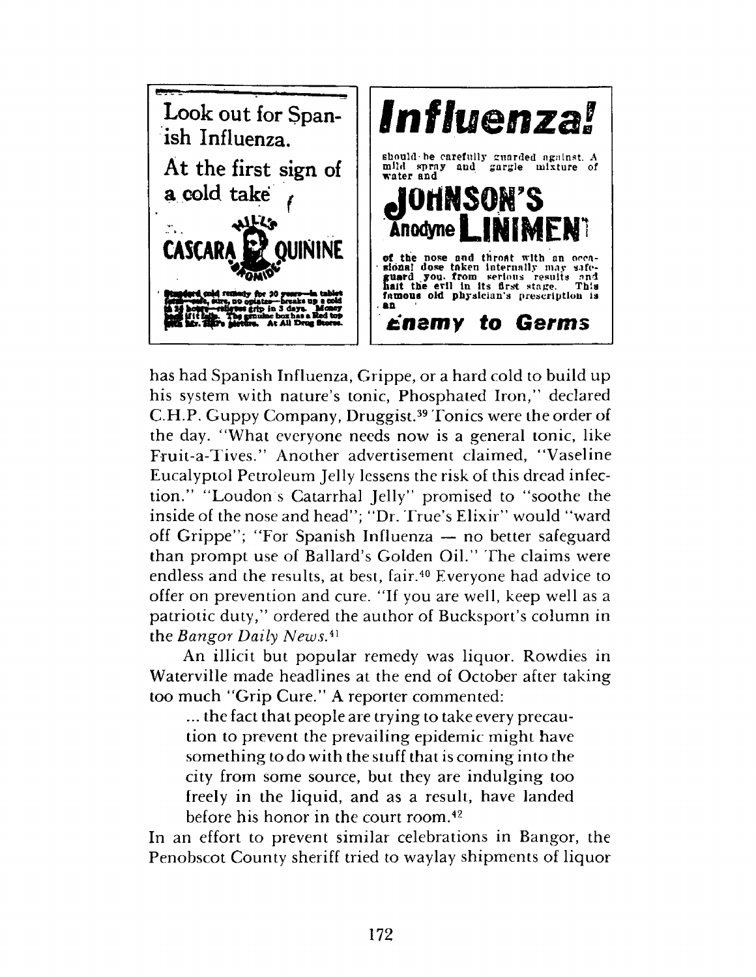

has had Spanish Influenza, Grippe, or a hard cold to build up his system with nature's tonic, Phosphated Iron," declared C.H.P. Guppy Company, Druggist.39 Tonics were the order of the day. "What everyone needs now is a general tonic, like Fruit-a-Tives." Another advertisement claimed, " Vaseline Eucalyptol Petroleum Jelly lessens the risk of this dread infection." "Loudon's Catarrhal Jelly" promised to "soothe the inside of the nose and head"; "Dr. True's Elixir" would "ward off Grippe"; "For Spanish Influenza — no better safeguard than prompt use of Ballard's Golden Oil." The claims were endless and the results, at best, fair.<sup>40</sup> Everyone had advice to offer on prevention and cure. "If you are well, keep well as a patriotic duty," ordered the author of Bucksport's column in the *Bangor Daily News.*<sup>41</sup>

An illicit but popular remedy was liquor. Rowdies in Waterville made headlines at the end of October after taking too much "Grip Cure." A reporter commented:

... the fact that people are trying to take every precaution to prevent the prevailing epidemic might have something to do with the stuff that is coming into the city from some source, but they are indulging too freely in the liquid, and as a result, have landed before his honor in the court room.42

In an effort to prevent similar celebrations in Bangor, the Penobscot County sheriff tried to waylay shipments of liquor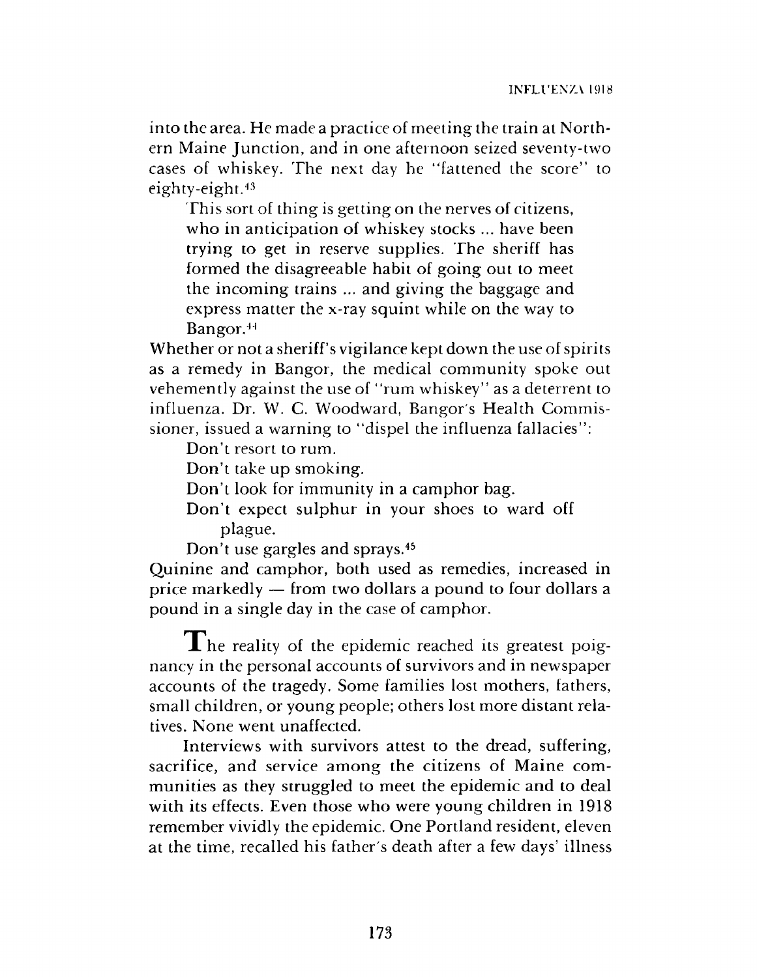into the area. He made a practice of meeting the train at Northern Maine Junction, and in one afternoon seized seventy-two cases of whiskey. The next day he "fattened the score" to eighty-eight.43

This sort of thing is getting on the nerves of citizens, who in anticipation of whiskey stocks ... have been trying to get in reserve supplies. The sheriff has formed the disagreeable habit of going out to meet the incoming trains ... and giving the baggage and express matter the x-ray squint while on the way to Bangor.41

Whether or not a sheriff's vigilance kept down the use of spirits as a remedy in Bangor, the medical community spoke out vehemently against the use of "rum whiskey" as a deterrent to influenza. Dr. W. C. Woodward, Bangor's Health Commissioner, issued a warning to "dispel the influenza fallacies":

Don't resort to rum.

Don't take up smoking.

Don't look for immunity in a camphor bag.

Don't expect sulphur in your shoes to ward off plague.

Don't use gargles and sprays.45

Quinine and camphor, both used as remedies, increased in price markedly — from two dollars a pound to four dollars a pound in a single day in the case of camphor.

The reality of the epidemic reached its greatest poignancy in the personal accounts of survivors and in newspaper accounts of the tragedy. Some families lost mothers, fathers, small children, or young people; others lost more distant relatives. None went unaffected.

Interviews with survivors attest to the dread, suffering, sacrifice, and service among the citizens of Maine communities as they struggled to meet the epidemic and to deal with its effects. Even those who were young children in 1918 remember vividly the epidemic. One Portland resident, eleven at the time, recalled his father's death after a few days' illness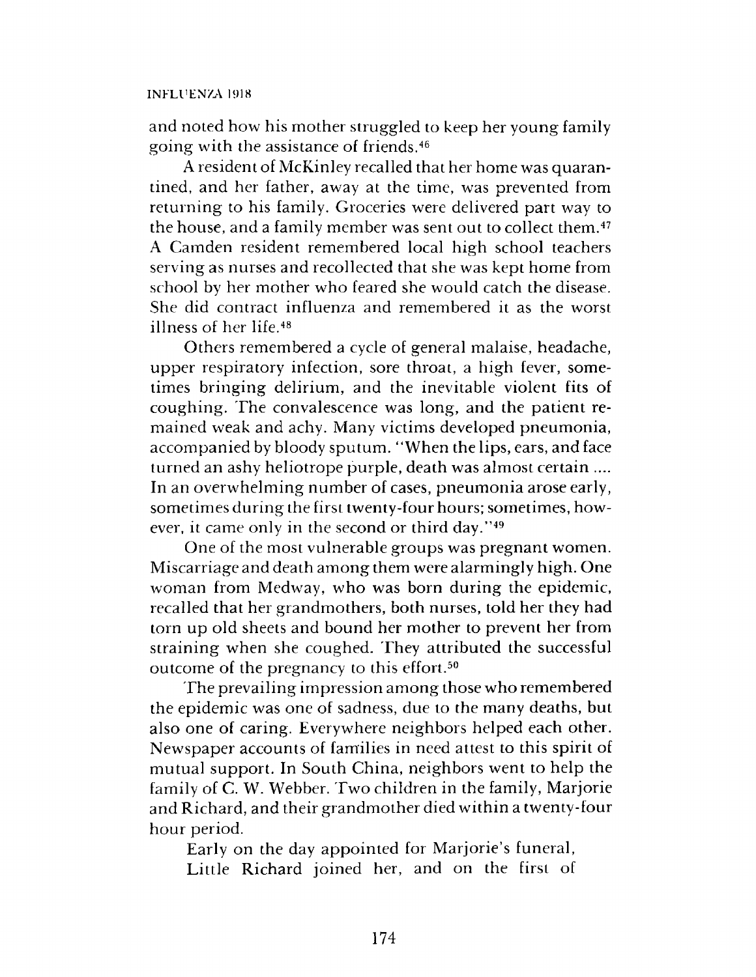#### INFLUENZA 1918

and noted how his mother struggled to keep her young family going with the assistance of friends.46

A resident of McKinley recalled that her home was quarantined, and her father, away at the time, was prevented from returning to his family. Groceries were delivered part way to the house, and a family member was sent out to collect them.47 A Camden resident remembered local high school teachers serving as nurses and recollected that she was kept home from school by her mother who feared she would catch the disease. She did contract influenza and remembered it as the worst illness of her life.48

Others remembered a cycle of general malaise, headache, upper respiratory infection, sore throat, a high fever, sometimes bringing delirium, and the inevitable violent fits of coughing. The convalescence was long, and the patient remained weak and achy. Many victims developed pneumonia, accompanied by bloody sputum. "When the lips, ears, and face turned an ashy heliotrope purple, death was almost certain .... In an overwhelming number of cases, pneumonia arose early, sometimes during the first twenty-four hours; sometimes, however, it came only in the second or third day."49

One of the most vulnerable groups was pregnant women. Miscarriage and death among them were alarmingly high. One woman from Medway, who was born during the epidemic, recalled that her grandmothers, both nurses, told her they had torn up old sheets and bound her mother to prevent her from straining when she coughed. They attributed the successful outcome of the pregnancy to this effort.50

The prevailing impression among those who remembered the epidemic was one of sadness, due to the many deaths, but also one of caring. Everywhere neighbors helped each other. Newspaper accounts of families in need attest to this spirit of mutual support. In South China, neighbors went to help the family of C. W. Webber. Two children in the family, Marjorie and Richard, and their grandmother died within a twenty-four hour period.

Early on the day appointed for Marjorie's funeral, Little Richard joined her, and on the first of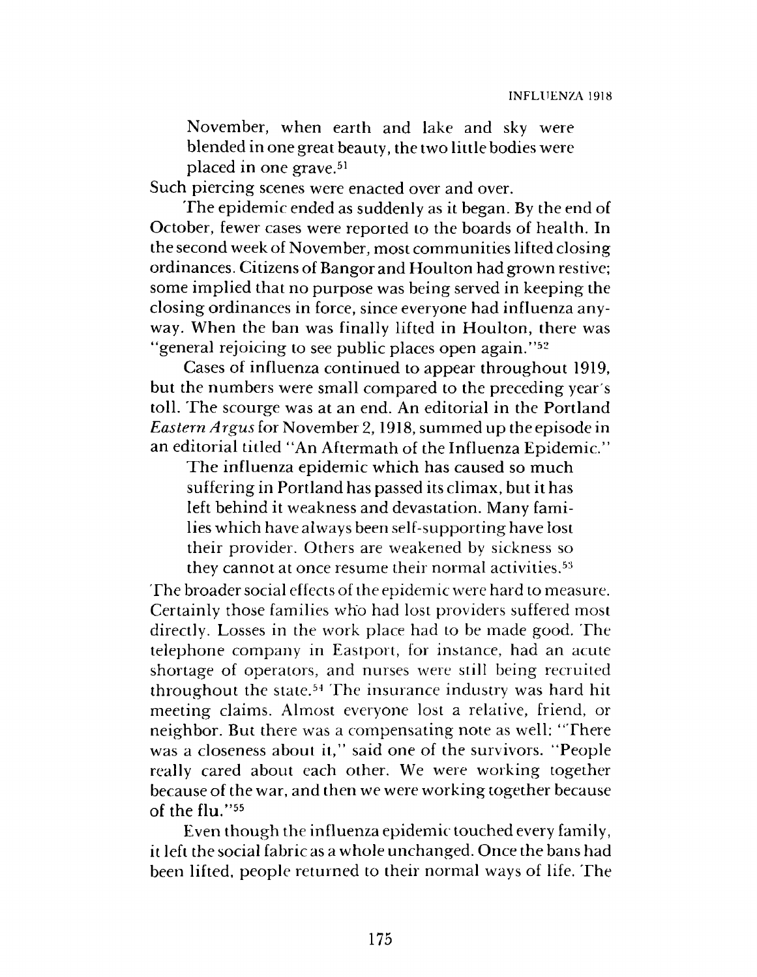November, when earth and lake and sky were blended in one great beauty, the two little bodies were placed in one grave.<sup>51</sup>

Such piercing scenes were enacted over and over.

The epidemic ended as suddenly as it began. By the end of October, fewer cases were reported to the boards of health. In the second week of November, most communities lifted closing ordinances. Citizens of Bangor and Houlton had grown restive; some implied that no purpose was being served in keeping the closing ordinances in force, since everyone had influenza anyway. When the ban was finally lifted in Houlton, there was "general rejoicing to see public places open again."52

Cases of influenza continued to appear throughout 1919, but the numbers were small compared to the preceding year's toll. The scourge was at an end. An editorial in the Portland *Eastern Argus* for November 2,1918, summed up the episode in an editorial titled "An Aftermath of the Influenza Epidemic."

The influenza epidemic which has caused so much suffering in Portland has passed its climax, but it has left behind it weakness and devastation. Many families which have always been self-supporting have lost their provider. Others are weakened by sickness so they cannot at once resume their normal activities.<sup>53</sup>

The broader social effects of the epidemic were hard to measure. Certainly those families who had lost providers suffered most directly. Losses in the work place had to be made good. The telephone company in Eastport, for instance, had an acute shortage of operators, and nurses were still being recruited throughout the state.54 The insurance industry was hard hit meeting claims. Almost everyone lost a relative, friend, or neighbor. But there was a compensating note as well: "There was a closeness about it," said one of the survivors. "People really cared about each other. We were working together because of the war, and then we were working together because of the flu."55

Even though the influenza epidemic touched every family, it left the social fabric as a whole unchanged. Once the bans had been lifted, people returned to their normal ways of life. The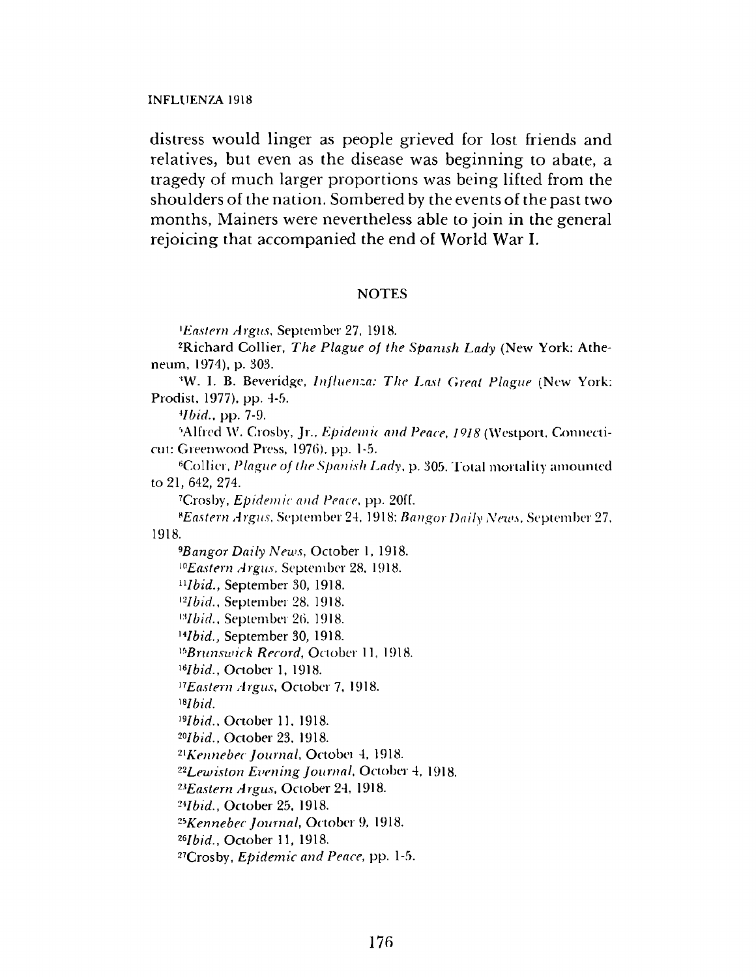INFLUENZA 1918

distress would linger as people grieved for lost friends and relatives, but even as the disease was beginning to abate, a tragedy of much larger proportions was being lifted from the shoulders of the nation. Sombered by the events of the past two months, Mainers were nevertheless able to join in the general rejoicing that accompanied the end of World War I.

#### NOTES

*Eastern Argus,* September 27, 1918.

2Richard Collier, *The Plague of the Spanish Lady* (New York: Atheneum, 1974), p. 303.

\*W. I. B. Beveridge, *Influenza: The Last Great Plague* (New York: Prodist, 1977). pp. 4-5.'

*\*Ibid.,* pp. 7-9.

<sup>5</sup>Alfred W. Crosby, Jr., *Epidemic and Peace*, 1918 (Westport, Connecticut: Greenwood Press, 1976), pp. 1-5.

<sup>6</sup>Collier, *Plague of the Spanish Lady*, p. 305. Total mortality amounted to 21, 642, 274.

Crosby, *Epidem ic and Peace,* pp. 20ff.

*\*E a s t e r n A r g u s ,* September 24, 1918: *B a n g o r Daily N ew s,* September 27,

1918.

*9Bangor Daily News, October 1, 1918. "Eastern Argus,* September 28, 1918. *uIbid* ., September 30, 1918. *"Ibid.,* September 28, 1918. *"Ibid.,* September 26, 1918. <sup>14</sup>*Ibid.*, September 30, 1918. <sup>15</sup>Brunswick Record, October 11, 1918. *"Ibid.,* October 1, 1918. <sup>17</sup> Eastern Argus, October 7, 1918. *"Ibid. "Ibid.,* October 11, 1918. *20I b i d . ,* October 23. 1918. *21 K e n n e b e c J o u r n a l ,* Octobei 4, 1918. <sup>22</sup>Lewiston Evening Journal, October 4, 1918. *23E a s t e r n A r g u s ,* October 24, 1918. *2H b id .,* October 25, 1918. *25K e n n e b e c J o u r n a l ,* October 9, 1918. <sup>26</sup>*Ibid.*, October 11, 1918.

27Crosby, *E pidem ic and Peace,* pp. 1-5.